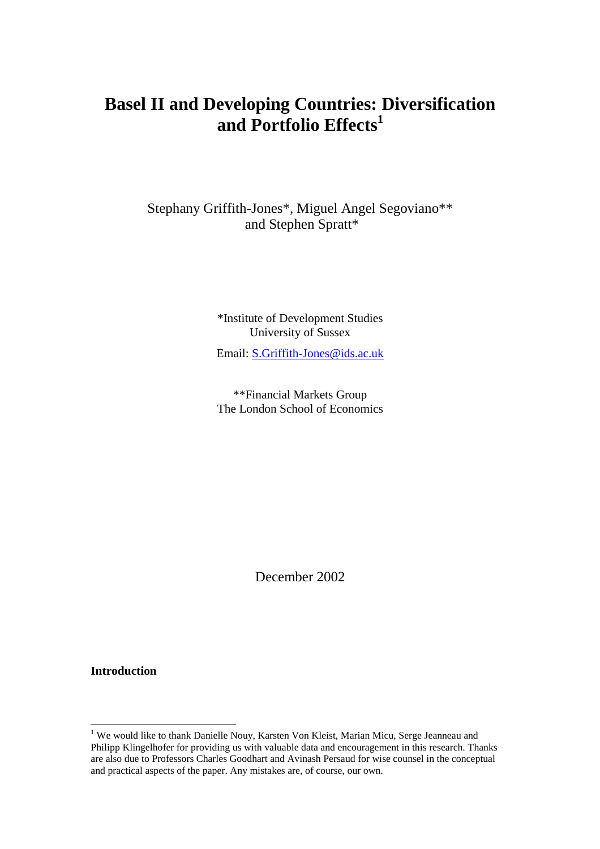# **Basel II and Developing Countries: Diversification** and Portfolio Effects<sup>1</sup>

Stephany Griffith-Jones\*, Miguel Angel Segoviano\*\* and Stephen Spratt\*

> \*Institute of Development Studies University of Sussex

> Email: S.Griffith-Jones@ids.ac.uk

\*\*Financial Markets Group The London School of Economics

December 2002

**Introduction**

<sup>1&</sup>lt;br><sup>1</sup> We would like to thank Danielle Nouy, Karsten Von Kleist, Marian Micu, Serge Jeanneau and Philipp Klingelhofer for providing us with valuable data and encouragement in this research. Thanks are also due to Professors Charles Goodhart and Avinash Persaud for wise counsel in the conceptual and practical aspects of the paper. Any mistakes are, of course, our own.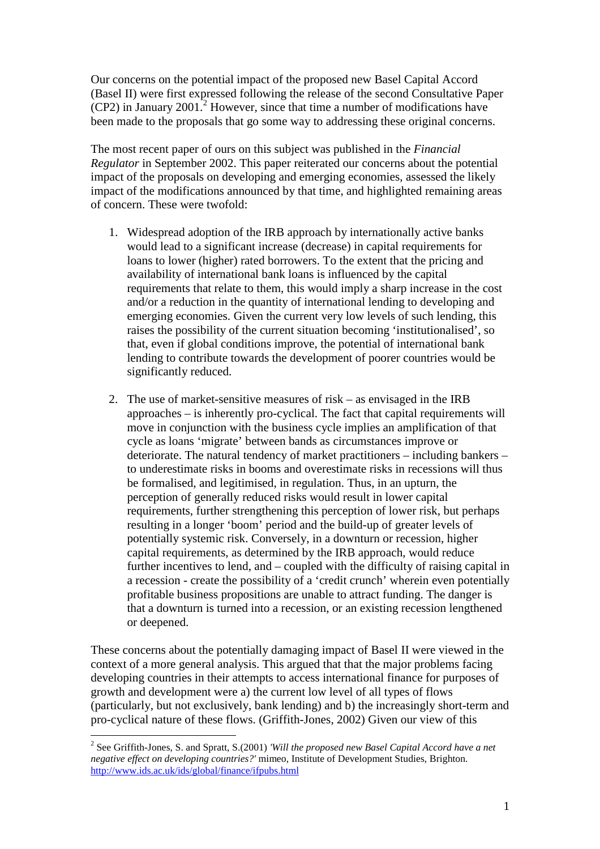Our concerns on the potential impact of the proposed new Basel Capital Accord (Basel II) were first expressed following the release of the second Consultative Paper  $(CP2)$  in January 2001.<sup>2</sup> However, since that time a number of modifications have been made to the proposals that go some way to addressing these original concerns.

The most recent paper of ours on this subject was published in the *Financial Regulator* in September 2002. This paper reiterated our concerns about the potential impact of the proposals on developing and emerging economies, assessed the likely impact of the modifications announced by that time, and highlighted remaining areas of concern. These were twofold:

- 1. Widespread adoption of the IRB approach by internationally active banks would lead to a significant increase (decrease) in capital requirements for loans to lower (higher) rated borrowers. To the extent that the pricing and availability of international bank loans is influenced by the capital requirements that relate to them, this would imply a sharp increase in the cost and/or a reduction in the quantity of international lending to developing and emerging economies. Given the current very low levels of such lending, this raises the possibility of the current situation becoming 'institutionalised', so that, even if global conditions improve, the potential of international bank lending to contribute towards the development of poorer countries would be significantly reduced.
- 2. The use of market-sensitive measures of risk as envisaged in the IRB approaches – is inherently pro-cyclical. The fact that capital requirements will move in conjunction with the business cycle implies an amplification of that cycle as loans 'migrate' between bands as circumstances improve or deteriorate. The natural tendency of market practitioners – including bankers – to underestimate risks in booms and overestimate risks in recessions will thus be formalised, and legitimised, in regulation. Thus, in an upturn, the perception of generally reduced risks would result in lower capital requirements, further strengthening this perception of lower risk, but perhaps resulting in a longer 'boom' period and the build-up of greater levels of potentially systemic risk. Conversely, in a downturn or recession, higher capital requirements, as determined by the IRB approach, would reduce further incentives to lend, and – coupled with the difficulty of raising capital in a recession - create the possibility of a 'credit crunch' wherein even potentially profitable business propositions are unable to attract funding. The danger is that a downturn is turned into a recession, or an existing recession lengthened or deepened.

These concerns about the potentially damaging impact of Basel II were viewed in the context of a more general analysis. This argued that that the major problems facing developing countries in their attempts to access international finance for purposes of growth and development were a) the current low level of all types of flows (particularly, but not exclusively, bank lending) and b) the increasingly short-term and pro-cyclical nature of these flows. (Griffith-Jones, 2002) Given our view of this

 $\overline{a}$ 

<sup>2</sup> See Griffith-Jones, S. and Spratt, S.(2001) *'Will the proposed new Basel Capital Accord have a net negative effect on developing countries?'* mimeo, Institute of Development Studies, Brighton. http://www.ids.ac.uk/ids/global/finance/ifpubs.html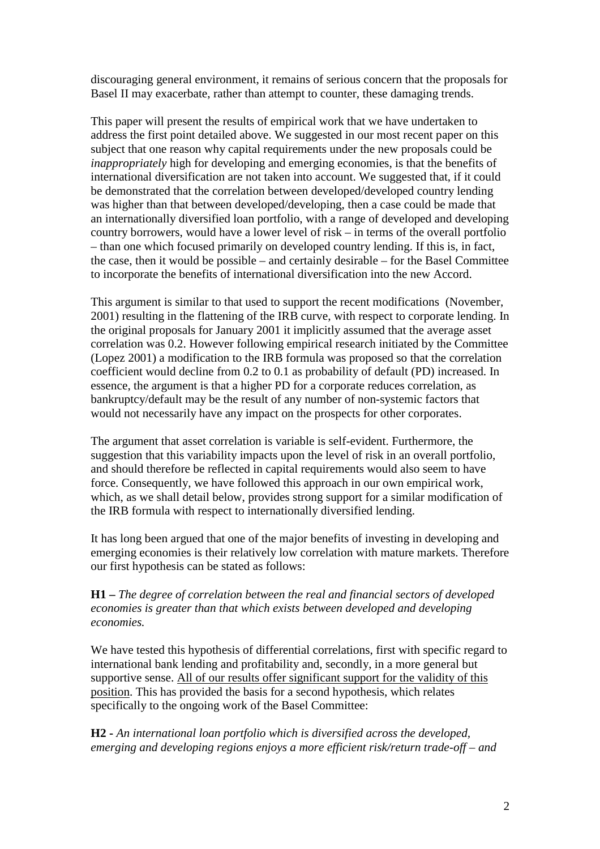discouraging general environment, it remains of serious concern that the proposals for Basel II may exacerbate, rather than attempt to counter, these damaging trends.

This paper will present the results of empirical work that we have undertaken to address the first point detailed above. We suggested in our most recent paper on this subject that one reason why capital requirements under the new proposals could be *inappropriately* high for developing and emerging economies, is that the benefits of international diversification are not taken into account. We suggested that, if it could be demonstrated that the correlation between developed/developed country lending was higher than that between developed/developing, then a case could be made that an internationally diversified loan portfolio, with a range of developed and developing country borrowers, would have a lower level of risk – in terms of the overall portfolio – than one which focused primarily on developed country lending. If this is, in fact, the case, then it would be possible – and certainly desirable – for the Basel Committee to incorporate the benefits of international diversification into the new Accord.

This argument is similar to that used to support the recent modifications (November, 2001) resulting in the flattening of the IRB curve, with respect to corporate lending. In the original proposals for January 2001 it implicitly assumed that the average asset correlation was 0.2. However following empirical research initiated by the Committee (Lopez 2001) a modification to the IRB formula was proposed so that the correlation coefficient would decline from 0.2 to 0.1 as probability of default (PD) increased. In essence, the argument is that a higher PD for a corporate reduces correlation, as bankruptcy/default may be the result of any number of non-systemic factors that would not necessarily have any impact on the prospects for other corporates.

The argument that asset correlation is variable is self-evident. Furthermore, the suggestion that this variability impacts upon the level of risk in an overall portfolio, and should therefore be reflected in capital requirements would also seem to have force. Consequently, we have followed this approach in our own empirical work, which, as we shall detail below, provides strong support for a similar modification of the IRB formula with respect to internationally diversified lending.

It has long been argued that one of the major benefits of investing in developing and emerging economies is their relatively low correlation with mature markets. Therefore our first hypothesis can be stated as follows:

### **H1 –** *The degree of correlation between the real and financial sectors of developed economies is greater than that which exists between developed and developing economies.*

We have tested this hypothesis of differential correlations, first with specific regard to international bank lending and profitability and, secondly, in a more general but supportive sense. All of our results offer significant support for the validity of this position. This has provided the basis for a second hypothesis, which relates specifically to the ongoing work of the Basel Committee:

**H2 -** *An international loan portfolio which is diversified across the developed, emerging and developing regions enjoys a more efficient risk/return trade-off – and*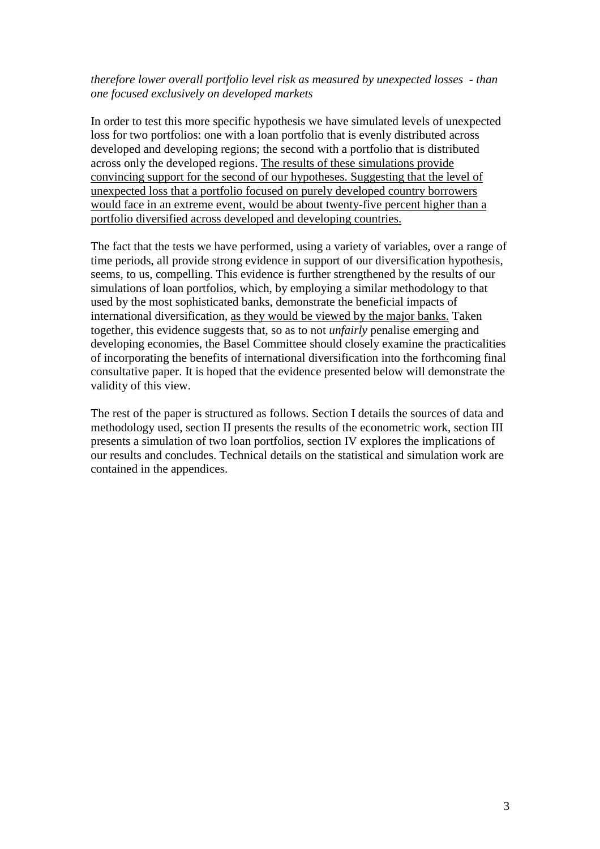### *therefore lower overall portfolio level risk as measured by unexpected losses - than one focused exclusively on developed markets*

In order to test this more specific hypothesis we have simulated levels of unexpected loss for two portfolios: one with a loan portfolio that is evenly distributed across developed and developing regions; the second with a portfolio that is distributed across only the developed regions. The results of these simulations provide convincing support for the second of our hypotheses. Suggesting that the level of unexpected loss that a portfolio focused on purely developed country borrowers would face in an extreme event, would be about twenty-five percent higher than a portfolio diversified across developed and developing countries.

The fact that the tests we have performed, using a variety of variables, over a range of time periods, all provide strong evidence in support of our diversification hypothesis, seems, to us, compelling. This evidence is further strengthened by the results of our simulations of loan portfolios, which, by employing a similar methodology to that used by the most sophisticated banks, demonstrate the beneficial impacts of international diversification, as they would be viewed by the major banks. Taken together, this evidence suggests that, so as to not *unfairly* penalise emerging and developing economies, the Basel Committee should closely examine the practicalities of incorporating the benefits of international diversification into the forthcoming final consultative paper. It is hoped that the evidence presented below will demonstrate the validity of this view.

The rest of the paper is structured as follows. Section I details the sources of data and methodology used, section II presents the results of the econometric work, section III presents a simulation of two loan portfolios, section IV explores the implications of our results and concludes. Technical details on the statistical and simulation work are contained in the appendices.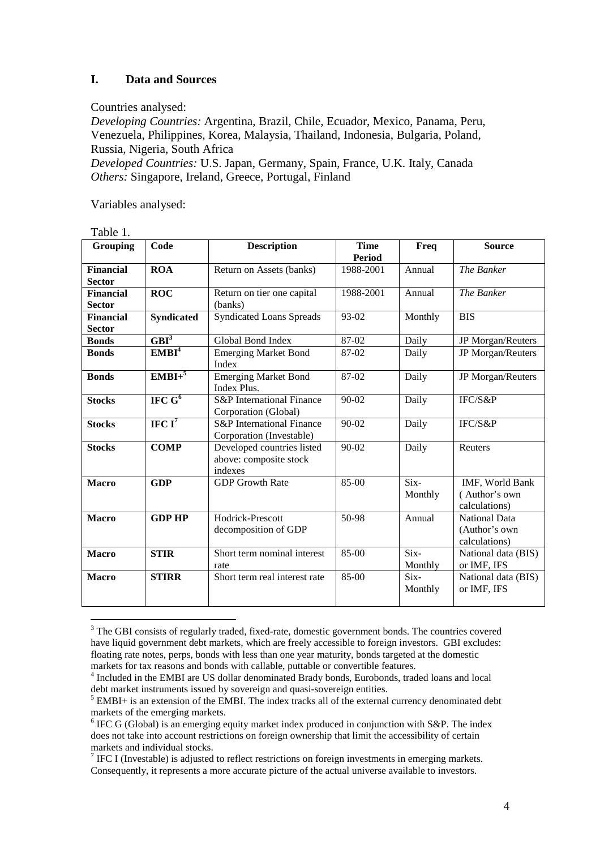### **I. Data and Sources**

#### Countries analysed:

*Developing Countries:* Argentina, Brazil, Chile, Ecuador, Mexico, Panama, Peru, Venezuela, Philippines, Korea, Malaysia, Thailand, Indonesia, Bulgaria, Poland, Russia, Nigeria, South Africa

*Developed Countries:* U.S. Japan, Germany, Spain, France, U.K. Italy, Canada *Others:* Singapore, Ireland, Greece, Portugal, Finland

Variables analysed:

| ravic 1.<br>Grouping | Code              | <b>Description</b>                   | <b>Time</b>   | Freq    | <b>Source</b>       |  |
|----------------------|-------------------|--------------------------------------|---------------|---------|---------------------|--|
|                      |                   |                                      | <b>Period</b> |         |                     |  |
| <b>Financial</b>     | <b>ROA</b>        | Return on Assets (banks)             | 1988-2001     | Annual  | The Banker          |  |
| <b>Sector</b>        |                   |                                      |               |         |                     |  |
| <b>Financial</b>     | <b>ROC</b>        | Return on tier one capital           | 1988-2001     | Annual  | The Banker          |  |
| <b>Sector</b>        |                   | (banks)                              |               |         |                     |  |
| <b>Financial</b>     | <b>Syndicated</b> | <b>Syndicated Loans Spreads</b>      | $93-02$       | Monthly | <b>BIS</b>          |  |
| <b>Sector</b>        |                   |                                      |               |         |                     |  |
| <b>Bonds</b>         | GBI <sup>3</sup>  | Global Bond Index                    | 87-02         | Daily   | JP Morgan/Reuters   |  |
| <b>Bonds</b>         | EMBI <sup>4</sup> | <b>Emerging Market Bond</b>          | 87-02         | Daily   | JP Morgan/Reuters   |  |
|                      |                   | Index                                |               |         |                     |  |
| <b>Bonds</b>         | $EMBI+^5$         | <b>Emerging Market Bond</b>          | 87-02         | Daily   | JP Morgan/Reuters   |  |
|                      |                   | Index Plus.                          |               |         |                     |  |
| <b>Stocks</b>        | IFC $G^6$         | <b>S&amp;P</b> International Finance | 90-02         | Daily   | IFC/S&P             |  |
|                      |                   | Corporation (Global)                 |               |         |                     |  |
| <b>Stocks</b>        | IFC $I^7$         | <b>S&amp;P</b> International Finance | $90-02$       | Daily   | IFC/S&P             |  |
|                      |                   | Corporation (Investable)             |               |         |                     |  |
| <b>Stocks</b>        | <b>COMP</b>       | Developed countries listed           | 90-02         | Daily   | Reuters             |  |
|                      |                   | above: composite stock               |               |         |                     |  |
|                      |                   | indexes                              |               |         |                     |  |
| <b>Macro</b>         | <b>GDP</b>        | <b>GDP</b> Growth Rate               | 85-00         | Six-    | IMF, World Bank     |  |
|                      |                   |                                      |               | Monthly | (Author's own       |  |
|                      |                   |                                      |               |         | calculations)       |  |
| <b>Macro</b>         | <b>GDP HP</b>     | Hodrick-Prescott                     | 50-98         | Annual  | National Data       |  |
|                      |                   | decomposition of GDP                 |               |         | (Author's own       |  |
|                      |                   |                                      |               |         | calculations)       |  |
| <b>Macro</b>         | <b>STIR</b>       | Short term nominal interest          | 85-00         | Six-    | National data (BIS) |  |
|                      |                   | rate                                 |               | Monthly | or IMF, IFS         |  |
| <b>Macro</b>         | <b>STIRR</b>      | Short term real interest rate        | $85-00$       | $Six-$  | National data (BIS) |  |
|                      |                   |                                      |               | Monthly | or IMF, IFS         |  |
|                      |                   |                                      |               |         |                     |  |

Table 1.

 $\overline{a}$ 

<sup>&</sup>lt;sup>3</sup> The GBI consists of regularly traded, fixed-rate, domestic government bonds. The countries covered have liquid government debt markets, which are freely accessible to foreign investors. GBI excludes: floating rate notes, perps, bonds with less than one year maturity, bonds targeted at the domestic markets for tax reasons and bonds with callable, puttable or convertible features.

<sup>&</sup>lt;sup>4</sup> Included in the EMBI are US dollar denominated Brady bonds, Eurobonds, traded loans and local debt market instruments issued by sovereign and quasi-sovereign entities.

<sup>&</sup>lt;sup>5</sup> EMBI+ is an extension of the EMBI. The index tracks all of the external currency denominated debt markets of the emerging markets.

 $6$  IFC G (Global) is an emerging equity market index produced in conjunction with S&P. The index does not take into account restrictions on foreign ownership that limit the accessibility of certain markets and individual stocks.

<sup>&</sup>lt;sup>7</sup> IFC I (Investable) is adjusted to reflect restrictions on foreign investments in emerging markets. Consequently, it represents a more accurate picture of the actual universe available to investors.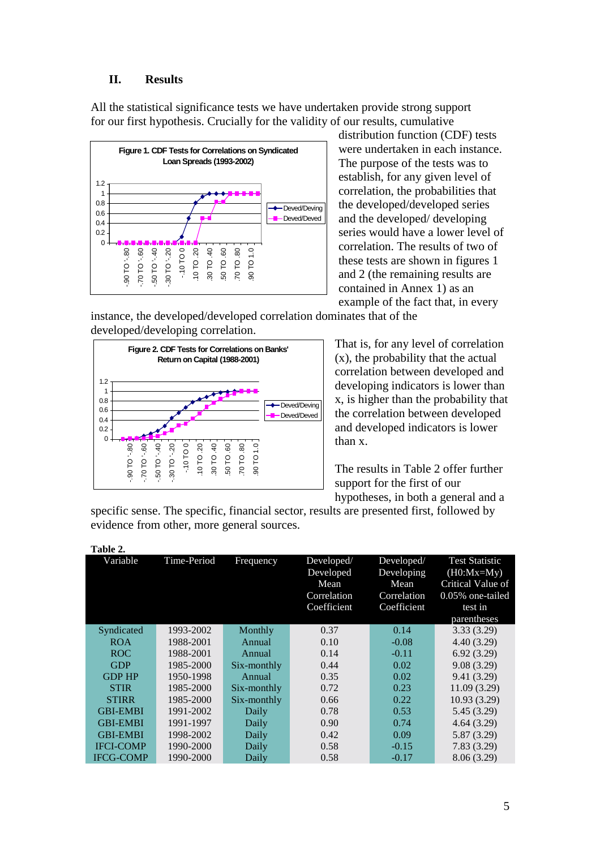### **II. Results**

All the statistical significance tests we have undertaken provide strong support for our first hypothesis. Crucially for the validity of our results, cumulative



distribution function (CDF) tests were undertaken in each instance. The purpose of the tests was to establish, for any given level of correlation, the probabilities that the developed/developed series and the developed/ developing series would have a lower level of correlation. The results of two of these tests are shown in figures 1 and 2 (the remaining results are contained in Annex 1) as an example of the fact that, in every

instance, the developed/developed correlation dominates that of the developed/developing correlation.



That is, for any level of correlation (x), the probability that the actual correlation between developed and developing indicators is lower than x, is higher than the probability that the correlation between developed and developed indicators is lower than x.

The results in Table 2 offer further support for the first of our hypotheses, in both a general and a

specific sense. The specific, financial sector, results are presented first, followed by evidence from other, more general sources.

| Variable         | Time-Period | Frequency   | Developed/  | Developed/  | <b>Test Statistic</b>   |
|------------------|-------------|-------------|-------------|-------------|-------------------------|
|                  |             |             | Developed   | Developing  | $(H0:Mx=\overline{My})$ |
|                  |             |             | Mean        | Mean        | Critical Value of       |
|                  |             |             | Correlation | Correlation | 0.05% one-tailed        |
|                  |             |             | Coefficient | Coefficient | test in                 |
|                  |             |             |             |             | parentheses             |
| Syndicated       | 1993-2002   | Monthly     | 0.37        | 0.14        | 3.33(3.29)              |
| <b>ROA</b>       | 1988-2001   | Annual      | 0.10        | $-0.08$     | 4.40(3.29)              |
| ROC.             | 1988-2001   | Annual      | 0.14        | $-0.11$     | 6.92(3.29)              |
| <b>GDP</b>       | 1985-2000   | Six-monthly | 0.44        | 0.02        | 9.08(3.29)              |
| <b>GDP HP</b>    | 1950-1998   | Annual      | 0.35        | 0.02        | 9.41 (3.29)             |
| <b>STIR</b>      | 1985-2000   | Six-monthly | 0.72        | 0.23        | 11.09(3.29)             |
| <b>STIRR</b>     | 1985-2000   | Six-monthly | 0.66        | 0.22        | 10.93(3.29)             |
| <b>GBI-EMBI</b>  | 1991-2002   | Daily       | 0.78        | 0.53        | 5.45(3.29)              |
| <b>GBI-EMBI</b>  | 1991-1997   | Daily       | 0.90        | 0.74        | 4.64(3.29)              |
| <b>GBI-EMBI</b>  | 1998-2002   | Daily       | 0.42        | 0.09        | 5.87(3.29)              |
| <b>IFCI-COMP</b> | 1990-2000   | Daily       | 0.58        | $-0.15$     | 7.83(3.29)              |
| <b>IFCG-COMP</b> | 1990-2000   | Daily       | 0.58        | $-0.17$     | 8.06(3.29)              |

**Table 2.**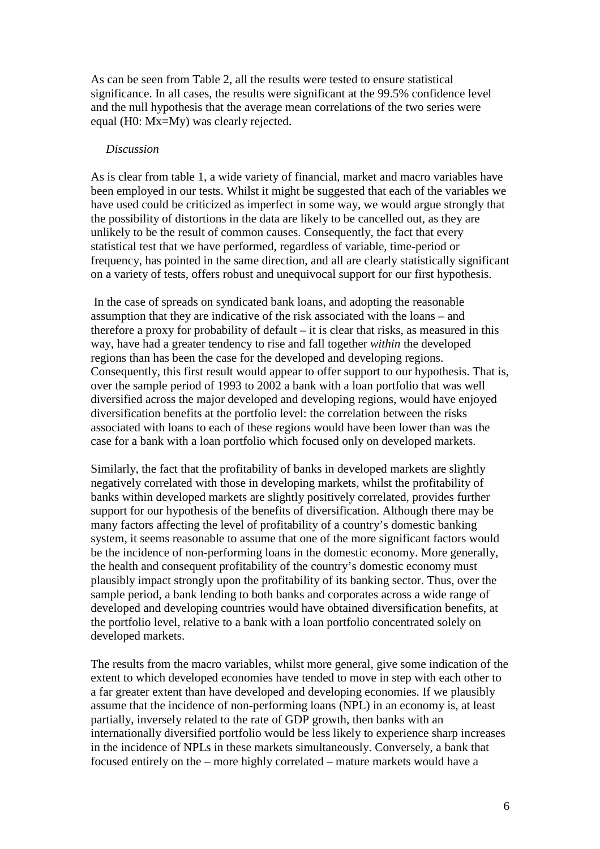As can be seen from Table 2, all the results were tested to ensure statistical significance. In all cases, the results were significant at the 99.5% confidence level and the null hypothesis that the average mean correlations of the two series were equal (H0: Mx=My) was clearly rejected.

#### *Discussion*

As is clear from table 1, a wide variety of financial, market and macro variables have been employed in our tests. Whilst it might be suggested that each of the variables we have used could be criticized as imperfect in some way, we would argue strongly that the possibility of distortions in the data are likely to be cancelled out, as they are unlikely to be the result of common causes. Consequently, the fact that every statistical test that we have performed, regardless of variable, time-period or frequency, has pointed in the same direction, and all are clearly statistically significant on a variety of tests, offers robust and unequivocal support for our first hypothesis.

 In the case of spreads on syndicated bank loans, and adopting the reasonable assumption that they are indicative of the risk associated with the loans – and therefore a proxy for probability of default  $-$  it is clear that risks, as measured in this way, have had a greater tendency to rise and fall together *within* the developed regions than has been the case for the developed and developing regions. Consequently, this first result would appear to offer support to our hypothesis. That is, over the sample period of 1993 to 2002 a bank with a loan portfolio that was well diversified across the major developed and developing regions, would have enjoyed diversification benefits at the portfolio level: the correlation between the risks associated with loans to each of these regions would have been lower than was the case for a bank with a loan portfolio which focused only on developed markets.

Similarly, the fact that the profitability of banks in developed markets are slightly negatively correlated with those in developing markets, whilst the profitability of banks within developed markets are slightly positively correlated, provides further support for our hypothesis of the benefits of diversification. Although there may be many factors affecting the level of profitability of a country's domestic banking system, it seems reasonable to assume that one of the more significant factors would be the incidence of non-performing loans in the domestic economy. More generally, the health and consequent profitability of the country's domestic economy must plausibly impact strongly upon the profitability of its banking sector. Thus, over the sample period, a bank lending to both banks and corporates across a wide range of developed and developing countries would have obtained diversification benefits, at the portfolio level, relative to a bank with a loan portfolio concentrated solely on developed markets.

The results from the macro variables, whilst more general, give some indication of the extent to which developed economies have tended to move in step with each other to a far greater extent than have developed and developing economies. If we plausibly assume that the incidence of non-performing loans (NPL) in an economy is, at least partially, inversely related to the rate of GDP growth, then banks with an internationally diversified portfolio would be less likely to experience sharp increases in the incidence of NPLs in these markets simultaneously. Conversely, a bank that focused entirely on the – more highly correlated – mature markets would have a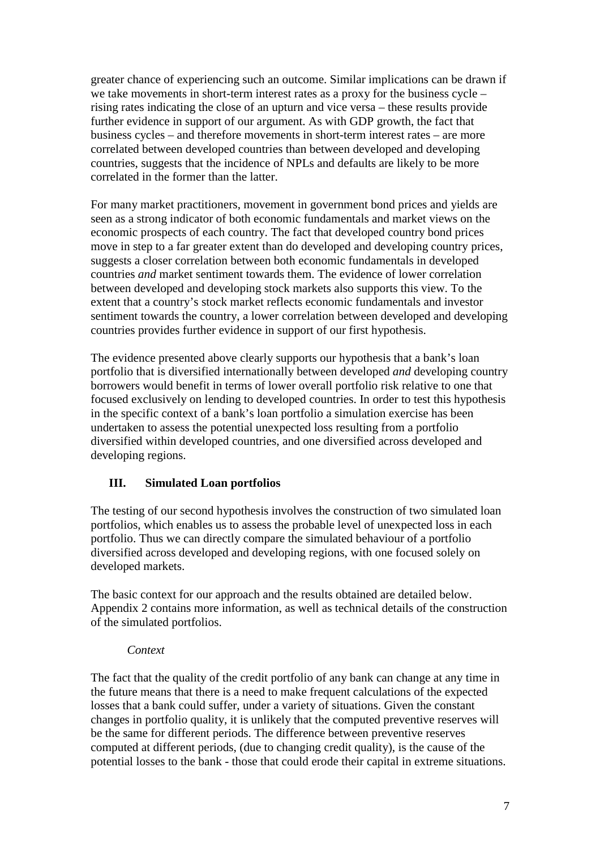greater chance of experiencing such an outcome. Similar implications can be drawn if we take movements in short-term interest rates as a proxy for the business cycle – rising rates indicating the close of an upturn and vice versa – these results provide further evidence in support of our argument. As with GDP growth, the fact that business cycles – and therefore movements in short-term interest rates – are more correlated between developed countries than between developed and developing countries, suggests that the incidence of NPLs and defaults are likely to be more correlated in the former than the latter.

For many market practitioners, movement in government bond prices and yields are seen as a strong indicator of both economic fundamentals and market views on the economic prospects of each country. The fact that developed country bond prices move in step to a far greater extent than do developed and developing country prices, suggests a closer correlation between both economic fundamentals in developed countries *and* market sentiment towards them. The evidence of lower correlation between developed and developing stock markets also supports this view. To the extent that a country's stock market reflects economic fundamentals and investor sentiment towards the country, a lower correlation between developed and developing countries provides further evidence in support of our first hypothesis.

The evidence presented above clearly supports our hypothesis that a bank's loan portfolio that is diversified internationally between developed *and* developing country borrowers would benefit in terms of lower overall portfolio risk relative to one that focused exclusively on lending to developed countries. In order to test this hypothesis in the specific context of a bank's loan portfolio a simulation exercise has been undertaken to assess the potential unexpected loss resulting from a portfolio diversified within developed countries, and one diversified across developed and developing regions.

### **III. Simulated Loan portfolios**

The testing of our second hypothesis involves the construction of two simulated loan portfolios, which enables us to assess the probable level of unexpected loss in each portfolio. Thus we can directly compare the simulated behaviour of a portfolio diversified across developed and developing regions, with one focused solely on developed markets.

The basic context for our approach and the results obtained are detailed below. Appendix 2 contains more information, as well as technical details of the construction of the simulated portfolios.

### *Context*

The fact that the quality of the credit portfolio of any bank can change at any time in the future means that there is a need to make frequent calculations of the expected losses that a bank could suffer, under a variety of situations. Given the constant changes in portfolio quality, it is unlikely that the computed preventive reserves will be the same for different periods. The difference between preventive reserves computed at different periods, (due to changing credit quality), is the cause of the potential losses to the bank - those that could erode their capital in extreme situations.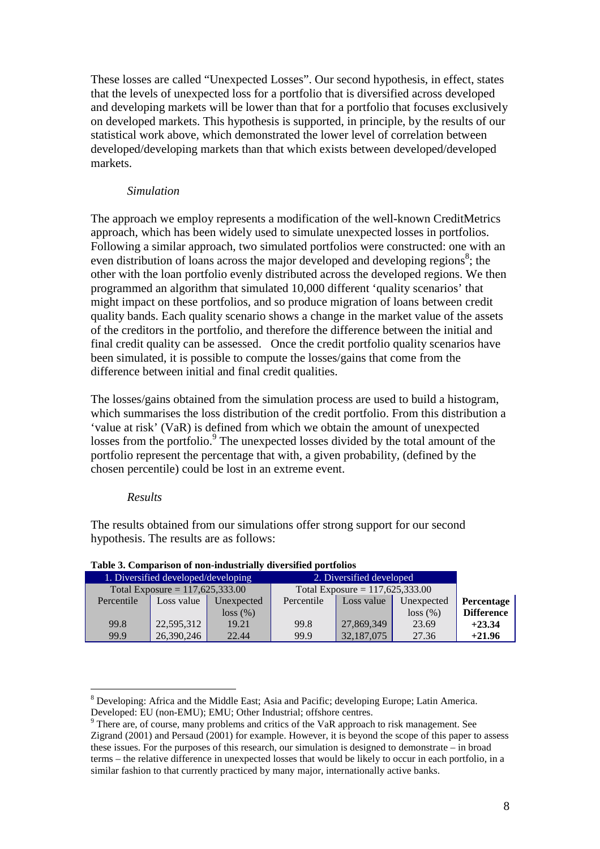These losses are called "Unexpected Losses". Our second hypothesis, in effect, states that the levels of unexpected loss for a portfolio that is diversified across developed and developing markets will be lower than that for a portfolio that focuses exclusively on developed markets. This hypothesis is supported, in principle, by the results of our statistical work above, which demonstrated the lower level of correlation between developed/developing markets than that which exists between developed/developed markets.

#### *Simulation*

The approach we employ represents a modification of the well-known CreditMetrics approach, which has been widely used to simulate unexpected losses in portfolios. Following a similar approach, two simulated portfolios were constructed: one with an even distribution of loans across the major developed and developing regions<sup>8</sup>; the other with the loan portfolio evenly distributed across the developed regions. We then programmed an algorithm that simulated 10,000 different 'quality scenarios' that might impact on these portfolios, and so produce migration of loans between credit quality bands. Each quality scenario shows a change in the market value of the assets of the creditors in the portfolio, and therefore the difference between the initial and final credit quality can be assessed. Once the credit portfolio quality scenarios have been simulated, it is possible to compute the losses/gains that come from the difference between initial and final credit qualities.

The losses/gains obtained from the simulation process are used to build a histogram, which summarises the loss distribution of the credit portfolio. From this distribution a 'value at risk' (VaR) is defined from which we obtain the amount of unexpected losses from the portfolio.<sup>9</sup> The unexpected losses divided by the total amount of the portfolio represent the percentage that with, a given probability, (defined by the chosen percentile) could be lost in an extreme event.

#### *Results*

 $\overline{a}$ 

The results obtained from our simulations offer strong support for our second hypothesis. The results are as follows:

| 1. Diversified developed/developing |            |            | 2. Diversified developed          |            |            |                   |
|-------------------------------------|------------|------------|-----------------------------------|------------|------------|-------------------|
| Total Exposure = $117,625,333.00$   |            |            | Total Exposure = $117,625,333.00$ |            |            |                   |
| Percentile                          | Loss value | Unexpected | Percentile                        | Loss value | Unexpected | Percentage        |
|                                     |            | loss (%)   |                                   |            | loss (%)   | <b>Difference</b> |
| 99.8                                | 22,595,312 | 19.21      | 99.8                              | 27,869,349 | 23.69      | $+23.34$          |
| 99.9                                | 26,390,246 | 22.44      | 99.9                              | 32,187,075 | 27.36      | $+21.96$          |

#### **Table 3. Comparison of non-industrially diversified portfolios**

<sup>&</sup>lt;sup>8</sup> Developing: Africa and the Middle East; Asia and Pacific; developing Europe; Latin America. Developed: EU (non-EMU); EMU; Other Industrial; offshore centres.

 $9^9$  There are, of course, many problems and critics of the VaR approach to risk management. See Zigrand (2001) and Persaud (2001) for example. However, it is beyond the scope of this paper to assess these issues. For the purposes of this research, our simulation is designed to demonstrate – in broad terms – the relative difference in unexpected losses that would be likely to occur in each portfolio, in a similar fashion to that currently practiced by many major, internationally active banks.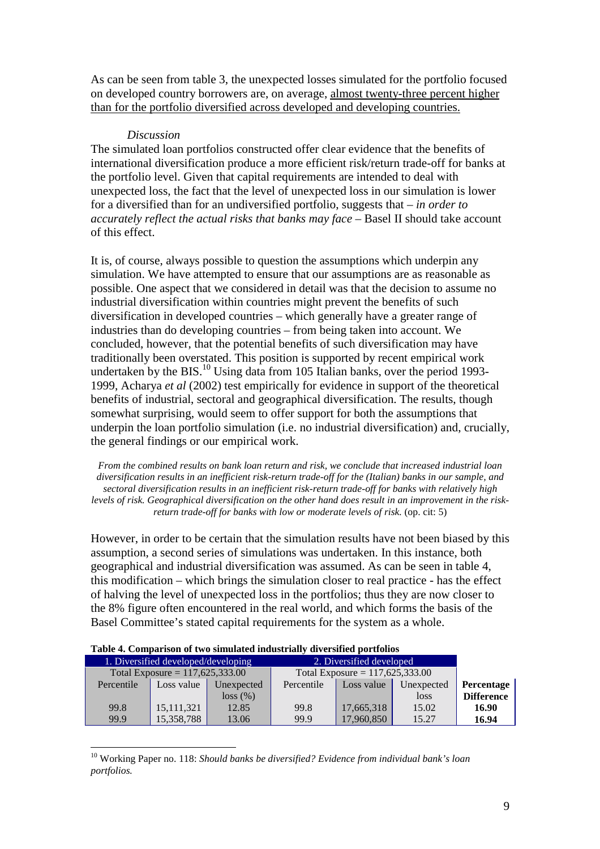As can be seen from table 3, the unexpected losses simulated for the portfolio focused on developed country borrowers are, on average, almost twenty-three percent higher than for the portfolio diversified across developed and developing countries.

#### *Discussion*

The simulated loan portfolios constructed offer clear evidence that the benefits of international diversification produce a more efficient risk/return trade-off for banks at the portfolio level. Given that capital requirements are intended to deal with unexpected loss, the fact that the level of unexpected loss in our simulation is lower for a diversified than for an undiversified portfolio, suggests that – *in order to accurately reflect the actual risks that banks may face* – Basel II should take account of this effect.

It is, of course, always possible to question the assumptions which underpin any simulation. We have attempted to ensure that our assumptions are as reasonable as possible. One aspect that we considered in detail was that the decision to assume no industrial diversification within countries might prevent the benefits of such diversification in developed countries – which generally have a greater range of industries than do developing countries – from being taken into account. We concluded, however, that the potential benefits of such diversification may have traditionally been overstated. This position is supported by recent empirical work undertaken by the BIS.<sup>10</sup> Using data from 105 Italian banks, over the period 1993-1999, Acharya *et al* (2002) test empirically for evidence in support of the theoretical benefits of industrial, sectoral and geographical diversification. The results, though somewhat surprising, would seem to offer support for both the assumptions that underpin the loan portfolio simulation (i.e. no industrial diversification) and, crucially, the general findings or our empirical work.

*From the combined results on bank loan return and risk, we conclude that increased industrial loan diversification results in an inefficient risk-return trade-off for the (Italian) banks in our sample, and sectoral diversification results in an inefficient risk-return trade-off for banks with relatively high levels of risk. Geographical diversification on the other hand does result in an improvement in the riskreturn trade-off for banks with low or moderate levels of risk.* (op. cit: 5)

However, in order to be certain that the simulation results have not been biased by this assumption, a second series of simulations was undertaken. In this instance, both geographical and industrial diversification was assumed. As can be seen in table 4, this modification – which brings the simulation closer to real practice - has the effect of halving the level of unexpected loss in the portfolios; thus they are now closer to the 8% figure often encountered in the real world, and which forms the basis of the Basel Committee's stated capital requirements for the system as a whole.

| Table 4. Comparison of two simulated industrially diversified portfolios |                                     |            |                                   |            |            |                   |  |  |
|--------------------------------------------------------------------------|-------------------------------------|------------|-----------------------------------|------------|------------|-------------------|--|--|
|                                                                          | 1. Diversified developed/developing |            | 2. Diversified developed          |            |            |                   |  |  |
|                                                                          | Total Exposure = $117,625,333.00$   |            | Total Exposure = $117,625,333.00$ |            |            |                   |  |  |
| Percentile                                                               | Loss value                          | Unexpected | Percentile                        | Loss value | Unexpected | Percentage        |  |  |
|                                                                          |                                     | loss (%)   |                                   |            | loss       | <b>Difference</b> |  |  |
| 99.8                                                                     | 15, 111, 321                        | 12.85      | 99.8                              | 17,665,318 | 15.02      | 16.90             |  |  |
| 99.9                                                                     | 15,358,788                          | 13.06      | 99.9                              | 17,960,850 | 15.27      | 16.94             |  |  |

|  | Table 4. Comparison of two simulated industrially diversified portfolios |  |  |  |
|--|--------------------------------------------------------------------------|--|--|--|
|  |                                                                          |  |  |  |

 $\overline{a}$ 

10 Working Paper no. 118: *Should banks be diversified? Evidence from individual bank's loan portfolios.*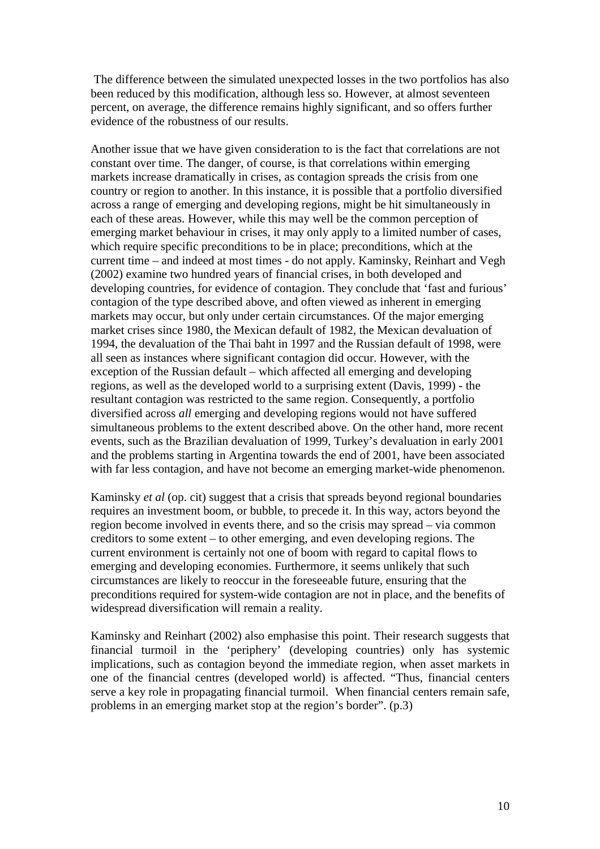The difference between the simulated unexpected losses in the two portfolios has also been reduced by this modification, although less so. However, at almost seventeen percent, on average, the difference remains highly significant, and so offers further evidence of the robustness of our results.

Another issue that we have given consideration to is the fact that correlations are not constant over time. The danger, of course, is that correlations within emerging markets increase dramatically in crises, as contagion spreads the crisis from one country or region to another. In this instance, it is possible that a portfolio diversified across a range of emerging and developing regions, might be hit simultaneously in each of these areas. However, while this may well be the common perception of emerging market behaviour in crises, it may only apply to a limited number of cases, which require specific preconditions to be in place; preconditions, which at the current time – and indeed at most times - do not apply. Kaminsky, Reinhart and Vegh (2002) examine two hundred years of financial crises, in both developed and developing countries, for evidence of contagion. They conclude that 'fast and furious' contagion of the type described above, and often viewed as inherent in emerging markets may occur, but only under certain circumstances. Of the major emerging market crises since 1980, the Mexican default of 1982, the Mexican devaluation of 1994, the devaluation of the Thai baht in 1997 and the Russian default of 1998, were all seen as instances where significant contagion did occur. However, with the exception of the Russian default – which affected all emerging and developing regions, as well as the developed world to a surprising extent (Davis, 1999) - the resultant contagion was restricted to the same region. Consequently, a portfolio diversified across *all* emerging and developing regions would not have suffered simultaneous problems to the extent described above. On the other hand, more recent events, such as the Brazilian devaluation of 1999, Turkey's devaluation in early 2001 and the problems starting in Argentina towards the end of 2001, have been associated with far less contagion, and have not become an emerging market-wide phenomenon.

Kaminsky *et al* (op. cit) suggest that a crisis that spreads beyond regional boundaries requires an investment boom, or bubble, to precede it. In this way, actors beyond the region become involved in events there, and so the crisis may spread – via common creditors to some extent – to other emerging, and even developing regions. The current environment is certainly not one of boom with regard to capital flows to emerging and developing economies. Furthermore, it seems unlikely that such circumstances are likely to reoccur in the foreseeable future, ensuring that the preconditions required for system-wide contagion are not in place, and the benefits of widespread diversification will remain a reality.

Kaminsky and Reinhart (2002) also emphasise this point. Their research suggests that financial turmoil in the 'periphery' (developing countries) only has systemic implications, such as contagion beyond the immediate region, when asset markets in one of the financial centres (developed world) is affected. "Thus, financial centers serve a key role in propagating financial turmoil. When financial centers remain safe, problems in an emerging market stop at the region's border". (p.3)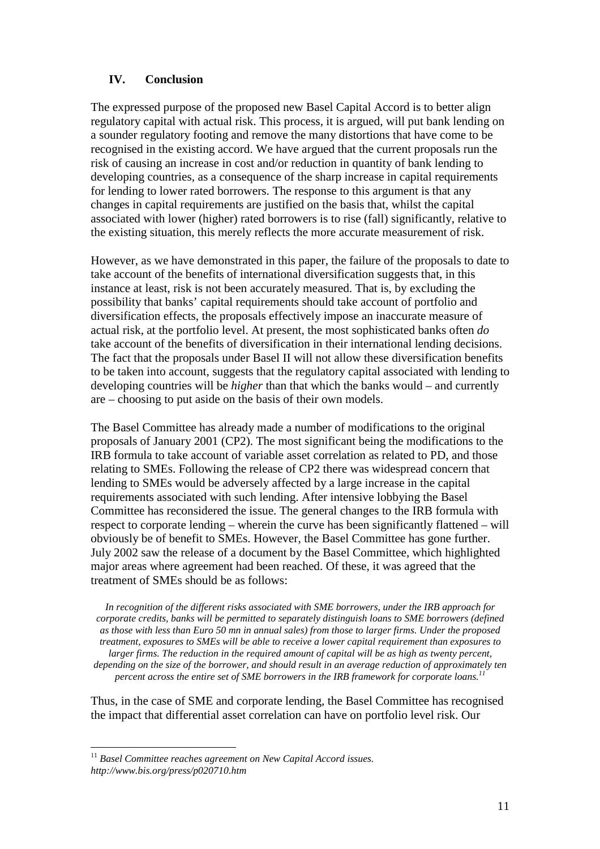### **IV. Conclusion**

The expressed purpose of the proposed new Basel Capital Accord is to better align regulatory capital with actual risk. This process, it is argued, will put bank lending on a sounder regulatory footing and remove the many distortions that have come to be recognised in the existing accord. We have argued that the current proposals run the risk of causing an increase in cost and/or reduction in quantity of bank lending to developing countries, as a consequence of the sharp increase in capital requirements for lending to lower rated borrowers. The response to this argument is that any changes in capital requirements are justified on the basis that, whilst the capital associated with lower (higher) rated borrowers is to rise (fall) significantly, relative to the existing situation, this merely reflects the more accurate measurement of risk.

However, as we have demonstrated in this paper, the failure of the proposals to date to take account of the benefits of international diversification suggests that, in this instance at least, risk is not been accurately measured. That is, by excluding the possibility that banks' capital requirements should take account of portfolio and diversification effects, the proposals effectively impose an inaccurate measure of actual risk, at the portfolio level. At present, the most sophisticated banks often *do* take account of the benefits of diversification in their international lending decisions. The fact that the proposals under Basel II will not allow these diversification benefits to be taken into account, suggests that the regulatory capital associated with lending to developing countries will be *higher* than that which the banks would – and currently are – choosing to put aside on the basis of their own models.

The Basel Committee has already made a number of modifications to the original proposals of January 2001 (CP2). The most significant being the modifications to the IRB formula to take account of variable asset correlation as related to PD, and those relating to SMEs. Following the release of CP2 there was widespread concern that lending to SMEs would be adversely affected by a large increase in the capital requirements associated with such lending. After intensive lobbying the Basel Committee has reconsidered the issue. The general changes to the IRB formula with respect to corporate lending – wherein the curve has been significantly flattened – will obviously be of benefit to SMEs. However, the Basel Committee has gone further. July 2002 saw the release of a document by the Basel Committee, which highlighted major areas where agreement had been reached. Of these, it was agreed that the treatment of SMEs should be as follows:

*In recognition of the different risks associated with SME borrowers, under the IRB approach for corporate credits, banks will be permitted to separately distinguish loans to SME borrowers (defined as those with less than Euro 50 mn in annual sales) from those to larger firms. Under the proposed treatment, exposures to SMEs will be able to receive a lower capital requirement than exposures to larger firms. The reduction in the required amount of capital will be as high as twenty percent, depending on the size of the borrower, and should result in an average reduction of approximately ten percent across the entire set of SME borrowers in the IRB framework for corporate loans.<sup>11</sup>*

Thus, in the case of SME and corporate lending, the Basel Committee has recognised the impact that differential asset correlation can have on portfolio level risk. Our

 $\overline{a}$ 

<sup>11</sup> *Basel Committee reaches agreement on New Capital Accord issues. http://www.bis.org/press/p020710.htm*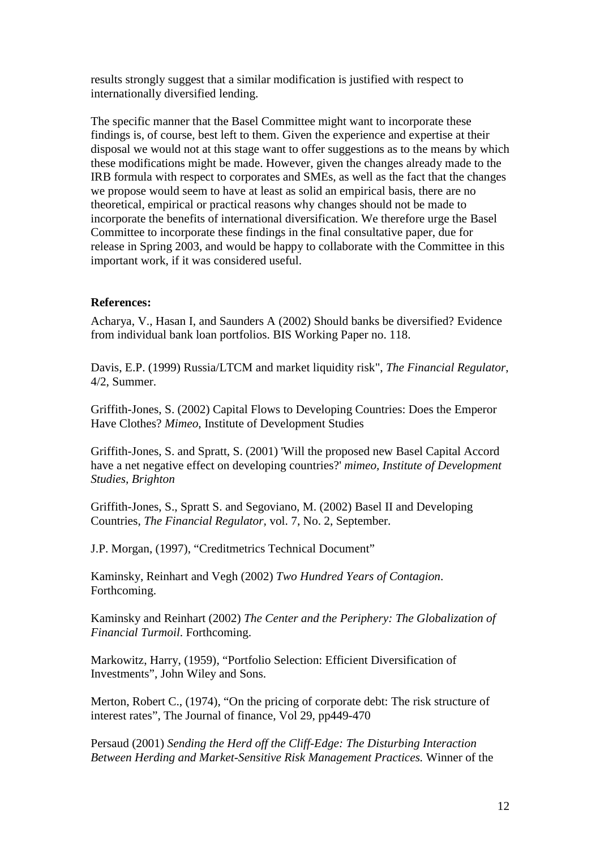results strongly suggest that a similar modification is justified with respect to internationally diversified lending.

The specific manner that the Basel Committee might want to incorporate these findings is, of course, best left to them. Given the experience and expertise at their disposal we would not at this stage want to offer suggestions as to the means by which these modifications might be made. However, given the changes already made to the IRB formula with respect to corporates and SMEs, as well as the fact that the changes we propose would seem to have at least as solid an empirical basis, there are no theoretical, empirical or practical reasons why changes should not be made to incorporate the benefits of international diversification. We therefore urge the Basel Committee to incorporate these findings in the final consultative paper, due for release in Spring 2003, and would be happy to collaborate with the Committee in this important work, if it was considered useful.

#### **References:**

Acharya, V., Hasan I, and Saunders A (2002) Should banks be diversified? Evidence from individual bank loan portfolios. BIS Working Paper no. 118.

Davis, E.P. (1999) Russia/LTCM and market liquidity risk", *The Financial Regulator*, 4/2, Summer.

Griffith-Jones, S. (2002) Capital Flows to Developing Countries: Does the Emperor Have Clothes? *Mimeo*, Institute of Development Studies

Griffith-Jones, S. and Spratt, S. (2001) 'Will the proposed new Basel Capital Accord have a net negative effect on developing countries?' *mimeo, Institute of Development Studies, Brighton*

Griffith-Jones, S., Spratt S. and Segoviano, M. (2002) Basel II and Developing Countries, *The Financial Regulator,* vol. 7, No. 2, September.

J.P. Morgan, (1997), "Creditmetrics Technical Document"

Kaminsky, Reinhart and Vegh (2002) *Two Hundred Years of Contagion*. Forthcoming.

Kaminsky and Reinhart (2002) *The Center and the Periphery: The Globalization of Financial Turmoil*. Forthcoming.

Markowitz, Harry, (1959), "Portfolio Selection: Efficient Diversification of Investments", John Wiley and Sons.

Merton, Robert C., (1974), "On the pricing of corporate debt: The risk structure of interest rates", The Journal of finance, Vol 29, pp449-470

Persaud (2001) *Sending the Herd off the Cliff-Edge: The Disturbing Interaction Between Herding and Market-Sensitive Risk Management Practices.* Winner of the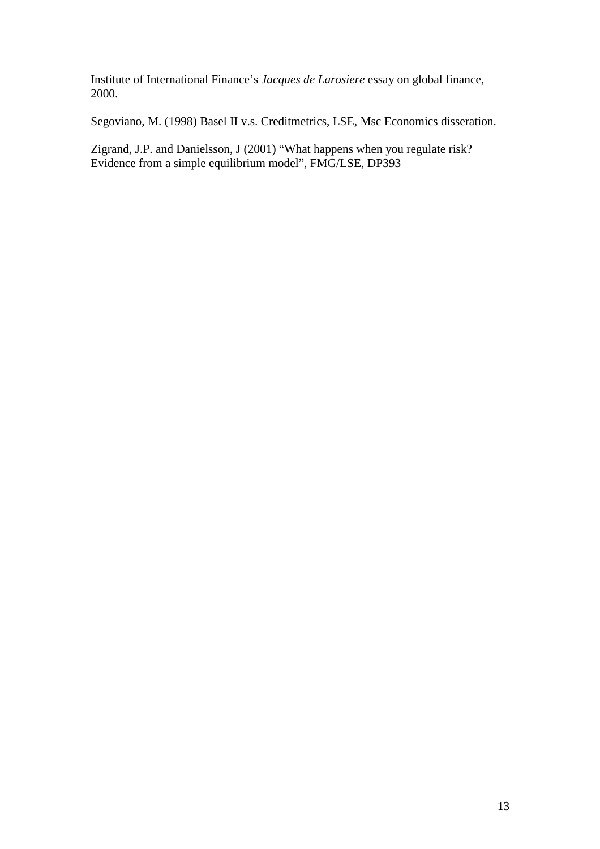Institute of International Finance's *Jacques de Larosiere* essay on global finance, 2000.

Segoviano, M. (1998) Basel II v.s. Creditmetrics, LSE, Msc Economics disseration.

Zigrand, J.P. and Danielsson, J (2001) "What happens when you regulate risk? Evidence from a simple equilibrium model", FMG/LSE, DP393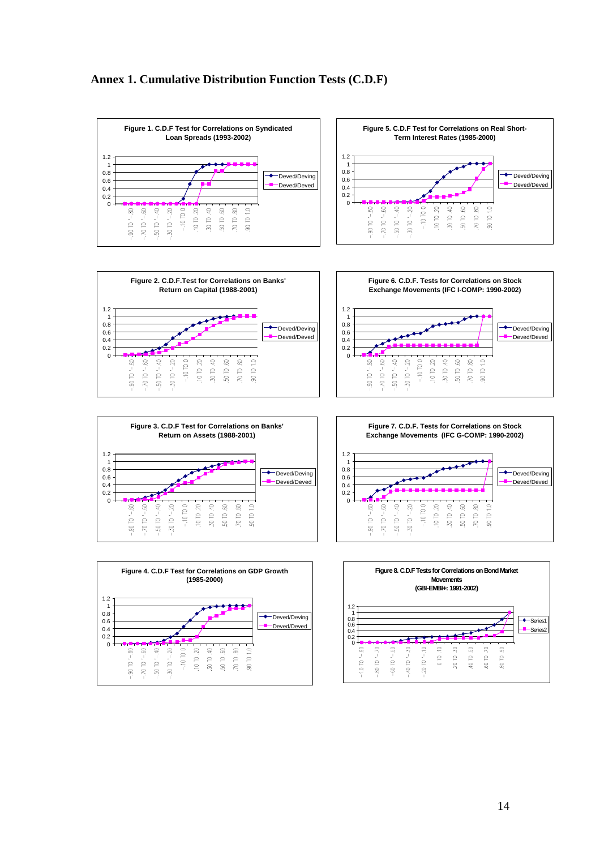#### **Annex 1. Cumulative Distribution Function Tests (C.D.F)**













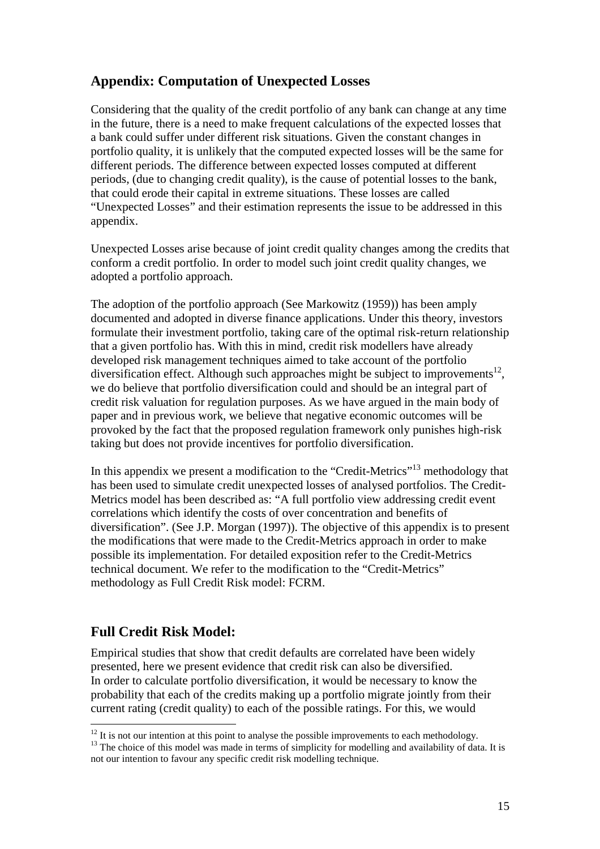# **Appendix: Computation of Unexpected Losses**

Considering that the quality of the credit portfolio of any bank can change at any time in the future, there is a need to make frequent calculations of the expected losses that a bank could suffer under different risk situations. Given the constant changes in portfolio quality, it is unlikely that the computed expected losses will be the same for different periods. The difference between expected losses computed at different periods, (due to changing credit quality), is the cause of potential losses to the bank, that could erode their capital in extreme situations. These losses are called "Unexpected Losses" and their estimation represents the issue to be addressed in this appendix.

Unexpected Losses arise because of joint credit quality changes among the credits that conform a credit portfolio. In order to model such joint credit quality changes, we adopted a portfolio approach.

The adoption of the portfolio approach (See Markowitz (1959)) has been amply documented and adopted in diverse finance applications. Under this theory, investors formulate their investment portfolio, taking care of the optimal risk-return relationship that a given portfolio has. With this in mind, credit risk modellers have already developed risk management techniques aimed to take account of the portfolio diversification effect. Although such approaches might be subject to improvements<sup>12</sup>, we do believe that portfolio diversification could and should be an integral part of credit risk valuation for regulation purposes. As we have argued in the main body of paper and in previous work, we believe that negative economic outcomes will be provoked by the fact that the proposed regulation framework only punishes high-risk taking but does not provide incentives for portfolio diversification.

In this appendix we present a modification to the "Credit-Metrics"<sup>13</sup> methodology that has been used to simulate credit unexpected losses of analysed portfolios. The Credit-Metrics model has been described as: "A full portfolio view addressing credit event correlations which identify the costs of over concentration and benefits of diversification". (See J.P. Morgan (1997)). The objective of this appendix is to present the modifications that were made to the Credit-Metrics approach in order to make possible its implementation. For detailed exposition refer to the Credit-Metrics technical document. We refer to the modification to the "Credit-Metrics" methodology as Full Credit Risk model: FCRM.

# **Full Credit Risk Model:**

Empirical studies that show that credit defaults are correlated have been widely presented, here we present evidence that credit risk can also be diversified. In order to calculate portfolio diversification, it would be necessary to know the probability that each of the credits making up a portfolio migrate jointly from their current rating (credit quality) to each of the possible ratings. For this, we would

 $\overline{a}$  $12$  It is not our intention at this point to analyse the possible improvements to each methodology.

 $13$  The choice of this model was made in terms of simplicity for modelling and availability of data. It is not our intention to favour any specific credit risk modelling technique.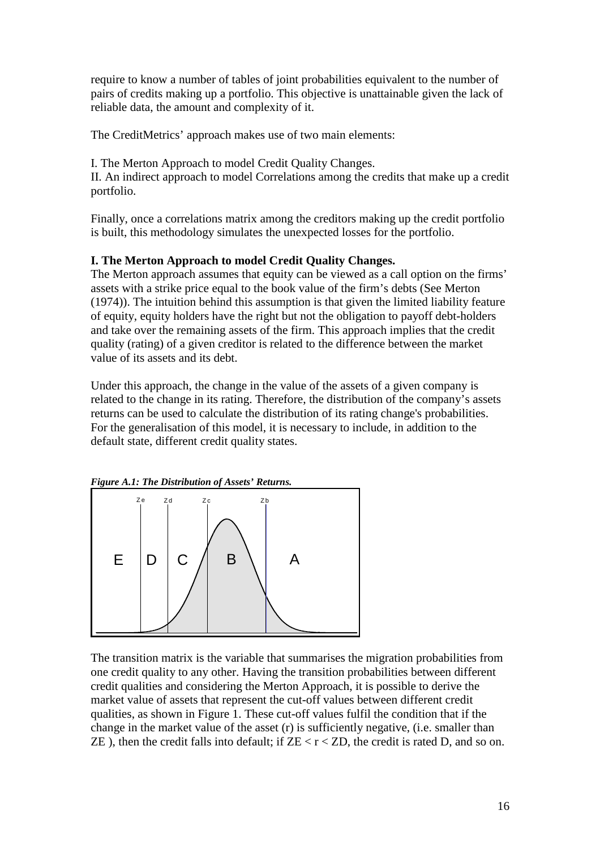require to know a number of tables of joint probabilities equivalent to the number of pairs of credits making up a portfolio. This objective is unattainable given the lack of reliable data, the amount and complexity of it.

The CreditMetrics' approach makes use of two main elements:

I. The Merton Approach to model Credit Quality Changes. II. An indirect approach to model Correlations among the credits that make up a credit portfolio.

Finally, once a correlations matrix among the creditors making up the credit portfolio is built, this methodology simulates the unexpected losses for the portfolio.

### **I. The Merton Approach to model Credit Quality Changes.**

The Merton approach assumes that equity can be viewed as a call option on the firms' assets with a strike price equal to the book value of the firm's debts (See Merton (1974)). The intuition behind this assumption is that given the limited liability feature of equity, equity holders have the right but not the obligation to payoff debt-holders and take over the remaining assets of the firm. This approach implies that the credit quality (rating) of a given creditor is related to the difference between the market value of its assets and its debt.

Under this approach, the change in the value of the assets of a given company is related to the change in its rating. Therefore, the distribution of the company's assets returns can be used to calculate the distribution of its rating change's probabilities. For the generalisation of this model, it is necessary to include, in addition to the default state, different credit quality states.



The transition matrix is the variable that summarises the migration probabilities from one credit quality to any other. Having the transition probabilities between different credit qualities and considering the Merton Approach, it is possible to derive the market value of assets that represent the cut-off values between different credit qualities, as shown in Figure 1. These cut-off values fulfil the condition that if the change in the market value of the asset (r) is sufficiently negative, (i.e. smaller than ZE), then the credit falls into default; if  $ZE < r < ZD$ , the credit is rated D, and so on.

16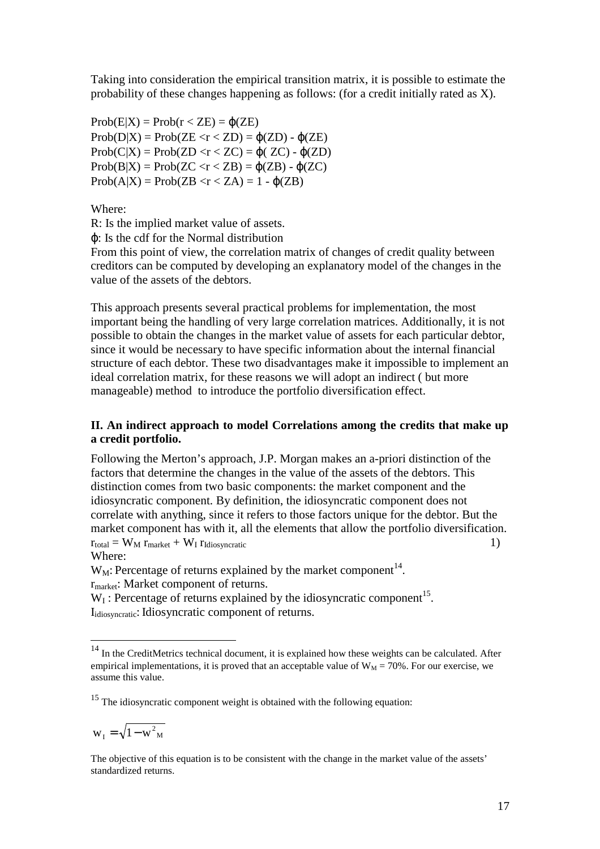Taking into consideration the empirical transition matrix, it is possible to estimate the probability of these changes happening as follows: (for a credit initially rated as X).

 $Prob(E|X) = Prob(r < ZE) = \varphi(ZE)$  $Prob(D|X) = Prob(ZE < r < ZD) = \varphi(ZD) - \varphi(ZE)$  $Prob(C|X) = Prob(ZD < r < ZC) = \omega(ZC) - \omega(ZD)$  $Prob(B|X) = Prob(ZC < r < ZB) = \varphi(ZB) - \varphi(ZC)$  $Prob(A|X) = Prob(ZB < r < ZA) = 1 - \varphi(ZB)$ 

Where:

R: Is the implied market value of assets.

ϕ: Is the cdf for the Normal distribution

From this point of view, the correlation matrix of changes of credit quality between creditors can be computed by developing an explanatory model of the changes in the value of the assets of the debtors.

This approach presents several practical problems for implementation, the most important being the handling of very large correlation matrices. Additionally, it is not possible to obtain the changes in the market value of assets for each particular debtor, since it would be necessary to have specific information about the internal financial structure of each debtor. These two disadvantages make it impossible to implement an ideal correlation matrix, for these reasons we will adopt an indirect ( but more manageable) method to introduce the portfolio diversification effect.

### **II. An indirect approach to model Correlations among the credits that make up a credit portfolio.**

Following the Merton's approach, J.P. Morgan makes an a-priori distinction of the factors that determine the changes in the value of the assets of the debtors. This distinction comes from two basic components: the market component and the idiosyncratic component. By definition, the idiosyncratic component does not correlate with anything, since it refers to those factors unique for the debtor. But the market component has with it, all the elements that allow the portfolio diversification.  $r_{\text{total}} = W_M r_{\text{market}} + W_I r_{\text{Idiosyncratic}}$  (1) Where:

 $W_M$ : Percentage of returns explained by the market component<sup>14</sup>. rmarket: Market component of returns.

 $W_I$ : Percentage of returns explained by the idiosyncratic component<sup>15</sup>. I<sub>idiosyncratic</sub>: Idiosyncratic component of returns.

 $w_{I} = \sqrt{1 - w^{2}_{M}}$ 

 $\overline{a}$ 

The objective of this equation is to be consistent with the change in the market value of the assets' standardized returns.

<sup>&</sup>lt;sup>14</sup> In the CreditMetrics technical document, it is explained how these weights can be calculated. After empirical implementations, it is proved that an acceptable value of  $W_M = 70\%$ . For our exercise, we assume this value.

<sup>&</sup>lt;sup>15</sup> The idiosyncratic component weight is obtained with the following equation: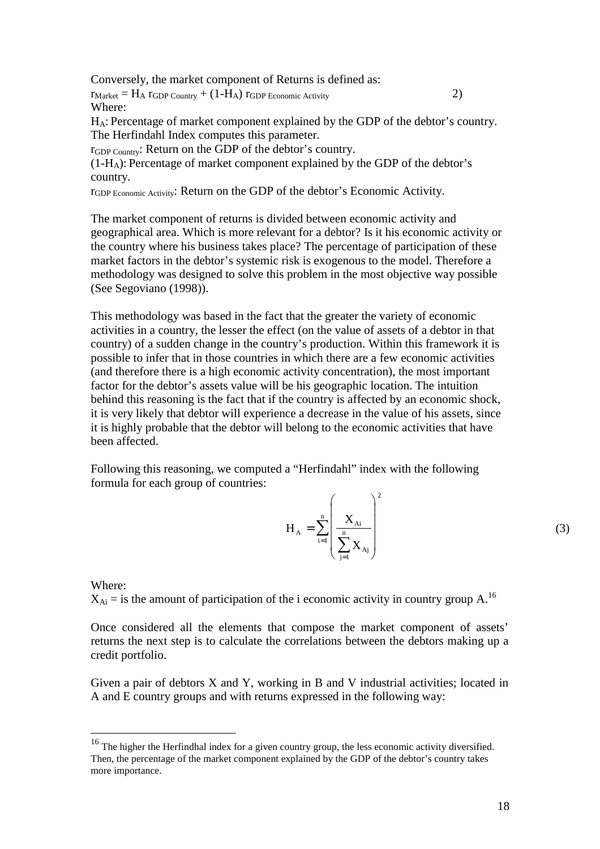Conversely, the market component of Returns is defined as:

 $r_{\text{Market}} = H_A r_{\text{GDP Country}} + (1-H_A) r_{\text{GDP Economic Activity}}$  (2) Where:

HA: Percentage of market component explained by the GDP of the debtor's country. The Herfindahl Index computes this parameter.

rGDP Country: Return on the GDP of the debtor's country.

 $(1-H_A)$ : Percentage of market component explained by the GDP of the debtor's country.

rGDP Economic Activity: Return on the GDP of the debtor's Economic Activity.

The market component of returns is divided between economic activity and geographical area. Which is more relevant for a debtor? Is it his economic activity or the country where his business takes place? The percentage of participation of these market factors in the debtor's systemic risk is exogenous to the model. Therefore a methodology was designed to solve this problem in the most objective way possible (See Segoviano (1998)).

This methodology was based in the fact that the greater the variety of economic activities in a country, the lesser the effect (on the value of assets of a debtor in that country) of a sudden change in the country's production. Within this framework it is possible to infer that in those countries in which there are a few economic activities (and therefore there is a high economic activity concentration), the most important factor for the debtor's assets value will be his geographic location. The intuition behind this reasoning is the fact that if the country is affected by an economic shock, it is very likely that debtor will experience a decrease in the value of his assets, since it is highly probable that the debtor will belong to the economic activities that have been affected.

Following this reasoning, we computed a "Herfindahl" index with the following formula for each group of countries:

$$
H_{\rm A} = \sum_{i=1}^n \left(\frac{X_{\rm Ai}}{\sum_{j=1}^n X_{\rm Aj}}\right)^2
$$

Where:

 $\overline{a}$ 

 $X_{Ai}$  = is the amount of participation of the i economic activity in country group A.<sup>16</sup>

Once considered all the elements that compose the market component of assets' returns the next step is to calculate the correlations between the debtors making up a credit portfolio.

Given a pair of debtors X and Y, working in B and V industrial activities; located in A and E country groups and with returns expressed in the following way:

<sup>&</sup>lt;sup>16</sup> The higher the Herfindhal index for a given country group, the less economic activity diversified. Then, the percentage of the market component explained by the GDP of the debtor's country takes more importance.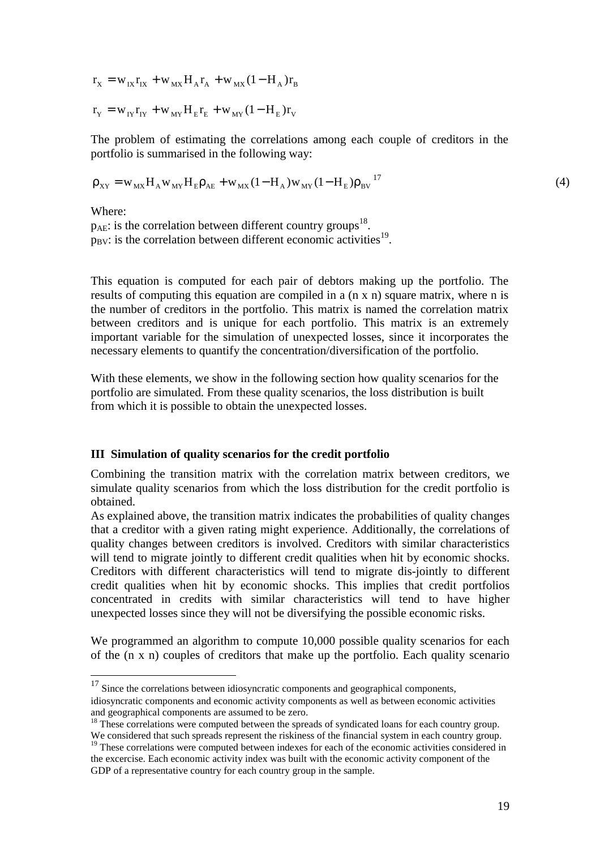$$
r_{\rm X} = w_{\rm IX} r_{\rm IX} + w_{\rm MX} H_{\rm A} r_{\rm A} + w_{\rm MX} (1-H_{\rm A}) r_{\rm B}
$$

$$
r_{\rm Y} = w_{\rm IY} r_{\rm IY} + w_{\rm MY} H_{\rm E} r_{\rm E} + w_{\rm MY} (1-H_{\rm E}) r_{\rm V}
$$

The problem of estimating the correlations among each couple of creditors in the portfolio is summarised in the following way:

$$
\rho_{XY} = w_{MX} H_A w_{MY} H_E \rho_{AE} + w_{MX} (1 - H_A) w_{MY} (1 - H_E) \rho_{BV}^{17}
$$
\n(4)

Where:

 $\overline{a}$ 

 $p_{AE}$ : is the correlation between different country groups<sup>18</sup>.  $p_{\text{BV}}$ : is the correlation between different economic activities<sup>19</sup>.

This equation is computed for each pair of debtors making up the portfolio. The results of computing this equation are compiled in a (n x n) square matrix, where n is the number of creditors in the portfolio. This matrix is named the correlation matrix between creditors and is unique for each portfolio. This matrix is an extremely important variable for the simulation of unexpected losses, since it incorporates the necessary elements to quantify the concentration/diversification of the portfolio.

With these elements, we show in the following section how quality scenarios for the portfolio are simulated. From these quality scenarios, the loss distribution is built from which it is possible to obtain the unexpected losses.

#### **III Simulation of quality scenarios for the credit portfolio**

Combining the transition matrix with the correlation matrix between creditors, we simulate quality scenarios from which the loss distribution for the credit portfolio is obtained.

As explained above, the transition matrix indicates the probabilities of quality changes that a creditor with a given rating might experience. Additionally, the correlations of quality changes between creditors is involved. Creditors with similar characteristics will tend to migrate jointly to different credit qualities when hit by economic shocks. Creditors with different characteristics will tend to migrate dis-jointly to different credit qualities when hit by economic shocks. This implies that credit portfolios concentrated in credits with similar characteristics will tend to have higher unexpected losses since they will not be diversifying the possible economic risks.

We programmed an algorithm to compute 10,000 possible quality scenarios for each of the (n x n) couples of creditors that make up the portfolio. Each quality scenario

 $17$  Since the correlations between idiosyncratic components and geographical components, idiosyncratic components and economic activity components as well as between economic activities and geographical components are assumed to be zero.

<sup>&</sup>lt;sup>18</sup> These correlations were computed between the spreads of syndicated loans for each country group. We considered that such spreads represent the riskiness of the financial system in each country group.

<sup>&</sup>lt;sup>19</sup> These correlations were computed between indexes for each of the economic activities considered in the excercise. Each economic activity index was built with the economic activity component of the GDP of a representative country for each country group in the sample.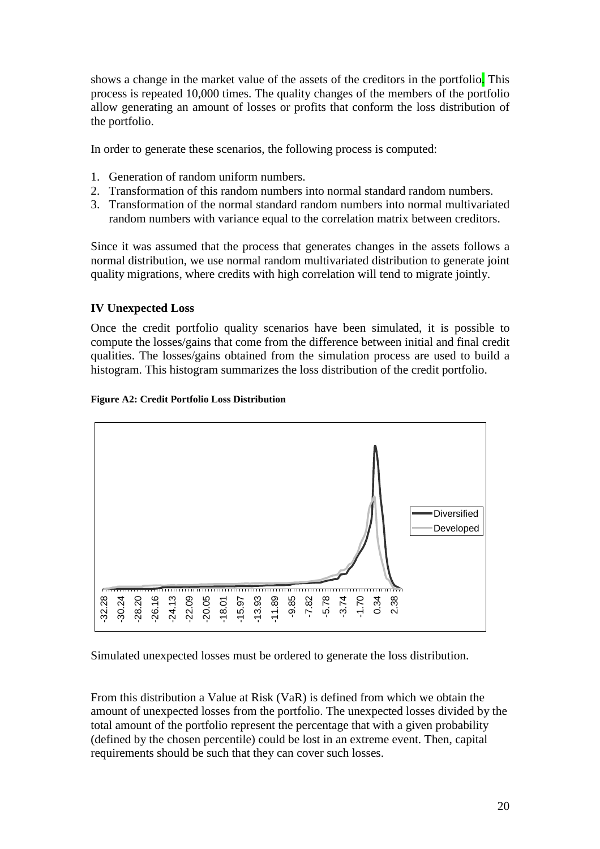shows a change in the market value of the assets of the creditors in the portfolio. This process is repeated 10,000 times. The quality changes of the members of the portfolio allow generating an amount of losses or profits that conform the loss distribution of the portfolio.

In order to generate these scenarios, the following process is computed:

- 1. Generation of random uniform numbers.
- 2. Transformation of this random numbers into normal standard random numbers.
- 3. Transformation of the normal standard random numbers into normal multivariated random numbers with variance equal to the correlation matrix between creditors.

Since it was assumed that the process that generates changes in the assets follows a normal distribution, we use normal random multivariated distribution to generate joint quality migrations, where credits with high correlation will tend to migrate jointly.

### **IV Unexpected Loss**

Once the credit portfolio quality scenarios have been simulated, it is possible to compute the losses/gains that come from the difference between initial and final credit qualities. The losses/gains obtained from the simulation process are used to build a histogram. This histogram summarizes the loss distribution of the credit portfolio.

#### **Figure A2: Credit Portfolio Loss Distribution**



Simulated unexpected losses must be ordered to generate the loss distribution.

From this distribution a Value at Risk (VaR) is defined from which we obtain the amount of unexpected losses from the portfolio. The unexpected losses divided by the total amount of the portfolio represent the percentage that with a given probability (defined by the chosen percentile) could be lost in an extreme event. Then, capital requirements should be such that they can cover such losses.